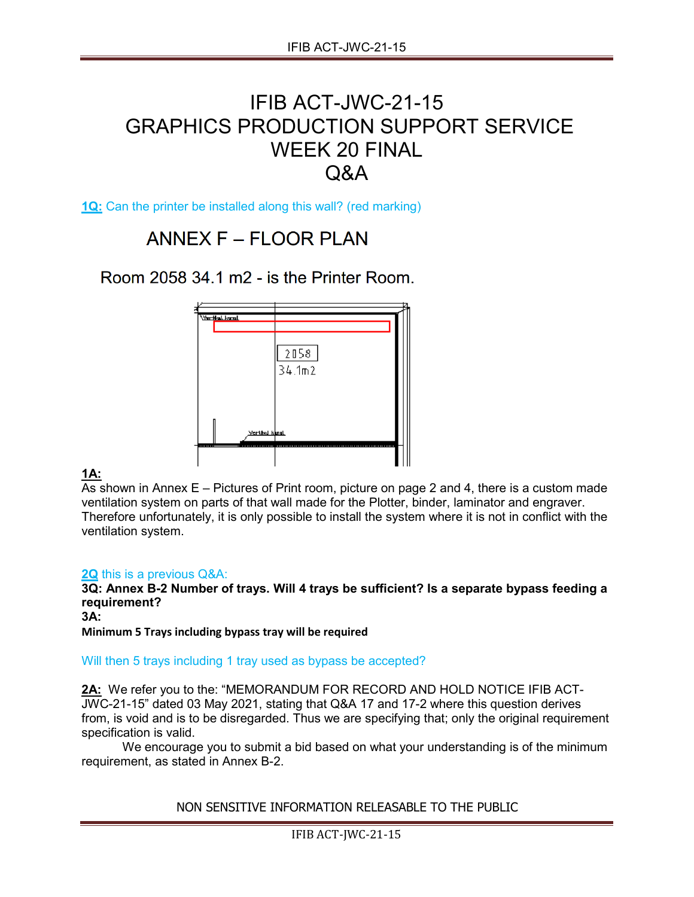## IFIB ACT-JWC-21-15 GRAPHICS PRODUCTION SUPPORT SERVICE WEEK 20 FINAL Q&A

**1Q:** Can the printer be installed along this wall? (red marking)

## ANNEX F - FLOOR PLAN

Room 2058 34.1 m2 - is the Printer Room.



## **1A:**

As shown in Annex E – Pictures of Print room, picture on page 2 and 4, there is a custom made ventilation system on parts of that wall made for the Plotter, binder, laminator and engraver. Therefore unfortunately, it is only possible to install the system where it is not in conflict with the ventilation system.

## **2Q** this is a previous Q&A:

**3Q: Annex B-2 Number of trays. Will 4 trays be sufficient? Is a separate bypass feeding a requirement?** 

**3A:** 

**Minimum 5 Trays including bypass tray will be required**

Will then 5 trays including 1 tray used as bypass be accepted?

2A: We refer you to the: "MEMORANDUM FOR RECORD AND HOLD NOTICE IFIB ACT-JWC-21-15" dated 03 May 2021, stating that Q&A 17 and 17-2 where this question derives from, is void and is to be disregarded. Thus we are specifying that; only the original requirement specification is valid.

We encourage you to submit a bid based on what your understanding is of the minimum requirement, as stated in Annex B-2.

NON SENSITIVE INFORMATION RELEASABLE TO THE PUBLIC